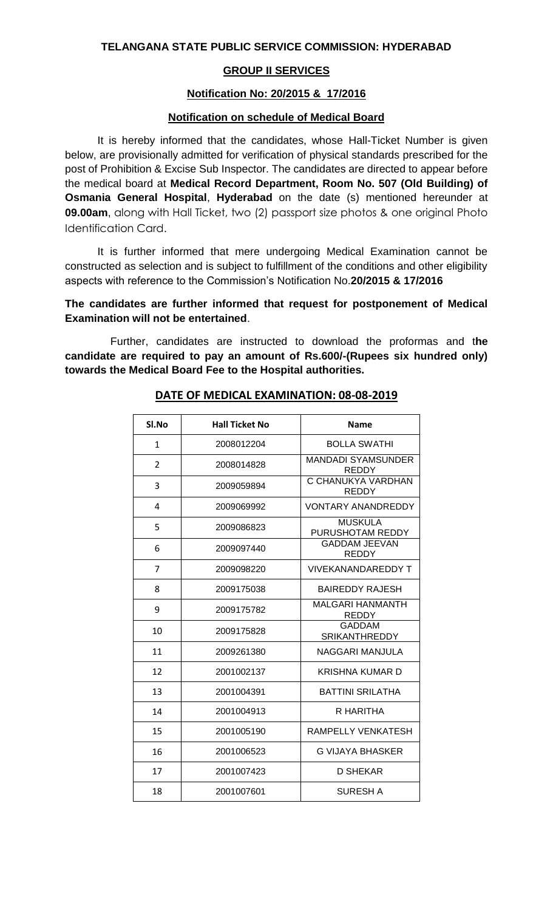## **GROUP II SERVICES**

#### **Notification No: 20/2015 & 17/2016**

### **Notification on schedule of Medical Board**

It is hereby informed that the candidates, whose Hall-Ticket Number is given below, are provisionally admitted for verification of physical standards prescribed for the post of Prohibition & Excise Sub Inspector. The candidates are directed to appear before the medical board at **Medical Record Department, Room No. 507 (Old Building) of Osmania General Hospital**, **Hyderabad** on the date (s) mentioned hereunder at **09.00am**, along with Hall Ticket, two (2) passport size photos & one original Photo Identification Card.

It is further informed that mere undergoing Medical Examination cannot be constructed as selection and is subject to fulfillment of the conditions and other eligibility aspects with reference to the Commission's Notification No.**20/2015 & 17/2016**

## **The candidates are further informed that request for postponement of Medical Examination will not be entertained**.

Further, candidates are instructed to download the proformas and t**he candidate are required to pay an amount of Rs.600/-(Rupees six hundred only) towards the Medical Board Fee to the Hospital authorities.**

| Sl.No          | <b>Hall Ticket No</b> | <b>Name</b>                           |
|----------------|-----------------------|---------------------------------------|
| $\mathbf{1}$   | 2008012204            | <b>BOLLA SWATHI</b>                   |
| $\overline{2}$ | 2008014828            | <b>MANDADI SYAMSUNDER</b><br>REDDY    |
| 3              | 2009059894            | C CHANUKYA VARDHAN<br><b>REDDY</b>    |
| 4              | 2009069992            | <b>VONTARY ANANDREDDY</b>             |
| 5              | 2009086823            | <b>MUSKULA</b><br>PURUSHOTAM REDDY    |
| 6              | 2009097440            | <b>GADDAM JEEVAN</b><br><b>REDDY</b>  |
| 7              | 2009098220            | <b>VIVEKANANDAREDDY T</b>             |
| 8              | 2009175038            | <b>BAIREDDY RAJESH</b>                |
| 9              | 2009175782            | <b>MALGARI HANMANTH</b><br>REDDY      |
| 10             | 2009175828            | <b>GADDAM</b><br><b>SRIKANTHREDDY</b> |
| 11             | 2009261380            | NAGGARI MANJULA                       |
| 12             | 2001002137            | <b>KRISHNA KUMAR D</b>                |
| 13             | 2001004391            | <b>BATTINI SRILATHA</b>               |
| 14             | 2001004913            | R HARITHA                             |
| 15             | 2001005190            | RAMPELLY VENKATESH                    |
| 16             | 2001006523            | G VIJAYA BHASKER                      |
| 17             | 2001007423            | D SHEKAR                              |
| 18             | 2001007601            | <b>SURESH A</b>                       |

## **DATE OF MEDICAL EXAMINATION: 08-08-2019**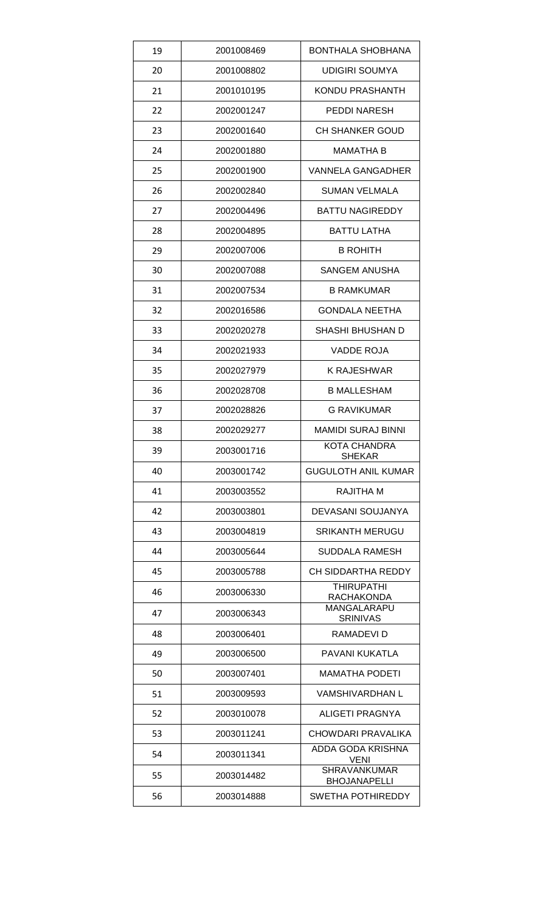| 19 | 2001008469 | BONTHALA SHOBHANA                          |
|----|------------|--------------------------------------------|
| 20 | 2001008802 | <b>UDIGIRI SOUMYA</b>                      |
| 21 | 2001010195 | <b>KONDU PRASHANTH</b>                     |
| 22 | 2002001247 | <b>PEDDI NARESH</b>                        |
| 23 | 2002001640 | <b>CH SHANKER GOUD</b>                     |
| 24 | 2002001880 | MAMATHA B                                  |
| 25 | 2002001900 | <b>VANNELA GANGADHER</b>                   |
| 26 | 2002002840 | <b>SUMAN VELMALA</b>                       |
| 27 | 2002004496 | <b>BATTU NAGIREDDY</b>                     |
| 28 | 2002004895 | <b>BATTU LATHA</b>                         |
| 29 | 2002007006 | <b>B ROHITH</b>                            |
| 30 | 2002007088 | <b>SANGEM ANUSHA</b>                       |
| 31 | 2002007534 | <b>B RAMKUMAR</b>                          |
| 32 | 2002016586 | <b>GONDALA NEETHA</b>                      |
| 33 | 2002020278 | SHASHI BHUSHAN D                           |
| 34 | 2002021933 | <b>VADDE ROJA</b>                          |
| 35 | 2002027979 | <b>K RAJESHWAR</b>                         |
| 36 | 2002028708 | <b>B MALLESHAM</b>                         |
| 37 | 2002028826 | <b>G RAVIKUMAR</b>                         |
| 38 | 2002029277 | <b>MAMIDI SURAJ BINNI</b>                  |
| 39 | 2003001716 | KOTA CHANDRA<br><b>SHEKAR</b>              |
| 40 | 2003001742 | <b>GUGULOTH ANIL KUMAR</b>                 |
| 41 | 2003003552 | <b>RAJITHA M</b>                           |
| 42 | 2003003801 | DEVASANI SOUJANYA                          |
| 43 | 2003004819 | SRIKANTH MERUGU                            |
| 44 | 2003005644 | <b>SUDDALA RAMESH</b>                      |
| 45 | 2003005788 | CH SIDDARTHA REDDY                         |
| 46 | 2003006330 | <b>THIRUPATHI</b><br>RACHAKONDA            |
| 47 | 2003006343 | MANGALARAPU<br><b>SRINIVAS</b>             |
| 48 | 2003006401 | RAMADEVI D                                 |
| 49 | 2003006500 | PAVANI KUKATLA                             |
| 50 | 2003007401 | <b>MAMATHA PODETI</b>                      |
| 51 | 2003009593 | <b>VAMSHIVARDHAN L</b>                     |
| 52 | 2003010078 | <b>ALIGETI PRAGNYA</b>                     |
| 53 | 2003011241 | CHOWDARI PRAVALIKA                         |
| 54 | 2003011341 | ADDA GODA KRISHNA<br>VENI                  |
| 55 | 2003014482 | <b>SHRAVANKUMAR</b><br><b>BHOJANAPELLI</b> |
| 56 | 2003014888 | SWETHA POTHIREDDY                          |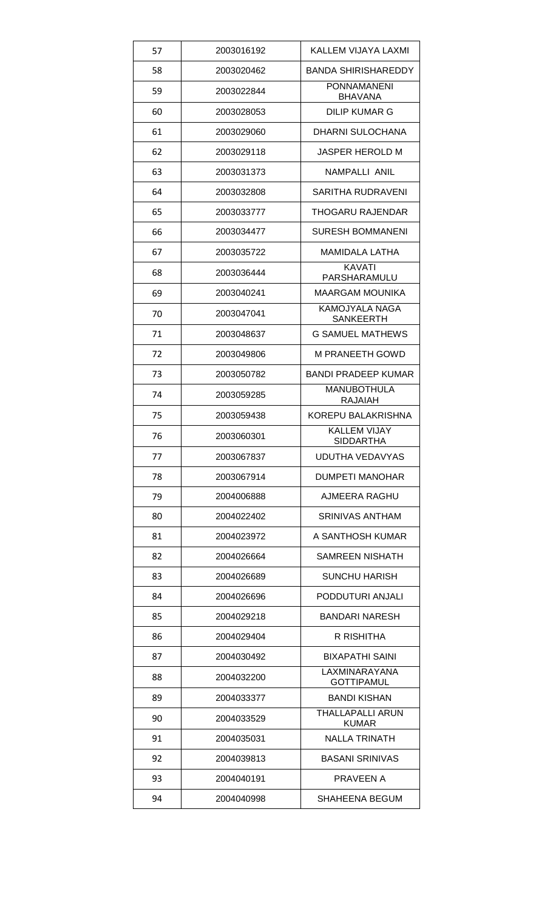| 57 | 2003016192 | KALLEM VIJAYA LAXMI                     |
|----|------------|-----------------------------------------|
| 58 | 2003020462 | <b>BANDA SHIRISHAREDDY</b>              |
| 59 | 2003022844 | <b>PONNAMANENI</b><br><b>BHAVANA</b>    |
| 60 | 2003028053 | <b>DILIP KUMAR G</b>                    |
| 61 | 2003029060 | DHARNI SULOCHANA                        |
| 62 | 2003029118 | JASPER HEROLD M                         |
| 63 | 2003031373 | NAMPALLI ANIL                           |
| 64 | 2003032808 | SARITHA RUDRAVENI                       |
| 65 | 2003033777 | THOGARU RAJENDAR                        |
| 66 | 2003034477 | <b>SURESH BOMMANENI</b>                 |
| 67 | 2003035722 | <b>MAMIDALA LATHA</b>                   |
| 68 | 2003036444 | <b>KAVATI</b><br>PARSHARAMULU           |
| 69 | 2003040241 | <b>MAARGAM MOUNIKA</b>                  |
| 70 | 2003047041 | KAMOJYALA NAGA<br><b>SANKEERTH</b>      |
| 71 | 2003048637 | <b>G SAMUEL MATHEWS</b>                 |
| 72 | 2003049806 | <b>M PRANEETH GOWD</b>                  |
| 73 | 2003050782 | <b>BANDI PRADEEP KUMAR</b>              |
| 74 | 2003059285 | <b>MANUBOTHULA</b><br>RAJAIAH           |
| 75 | 2003059438 | KOREPU BALAKRISHNA                      |
|    |            |                                         |
| 76 | 2003060301 | <b>KALLEM VIJAY</b><br><b>SIDDARTHA</b> |
| 77 | 2003067837 | <b>UDUTHA VEDAVYAS</b>                  |
| 78 | 2003067914 | <b>DUMPETI MANOHAR</b>                  |
| 79 | 2004006888 | AJMEERA RAGHU                           |
| 80 | 2004022402 | <b>SRINIVAS ANTHAM</b>                  |
| 81 | 2004023972 | A SANTHOSH KUMAR                        |
| 82 | 2004026664 | SAMREEN NISHATH                         |
| 83 | 2004026689 | <b>SUNCHU HARISH</b>                    |
| 84 | 2004026696 | PODDUTURI ANJALI                        |
| 85 | 2004029218 | <b>BANDARI NARESH</b>                   |
| 86 | 2004029404 | R RISHITHA                              |
| 87 | 2004030492 | <b>BIXAPATHI SAINI</b>                  |
| 88 | 2004032200 | LAXMINARAYANA<br><b>GOTTIPAMUL</b>      |
| 89 | 2004033377 | <b>BANDI KISHAN</b>                     |
| 90 | 2004033529 | <b>THALLAPALLI ARUN</b><br><b>KUMAR</b> |
| 91 | 2004035031 | <b>NALLA TRINATH</b>                    |
| 92 | 2004039813 | <b>BASANI SRINIVAS</b>                  |
| 93 | 2004040191 | PRAVEEN A                               |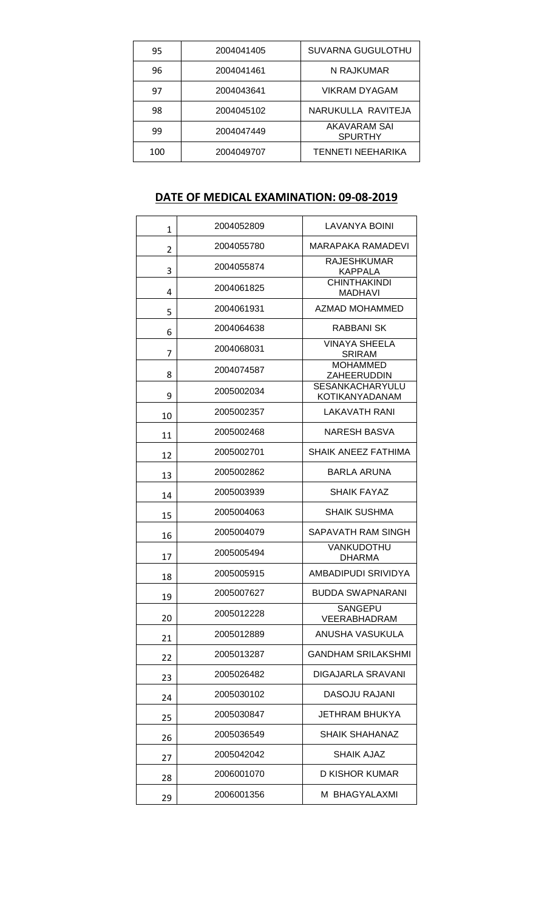| 95  | 2004041405 | <b>SUVARNA GUGULOTHU</b>              |
|-----|------------|---------------------------------------|
| 96  | 2004041461 | N RAJKUMAR                            |
| 97  | 2004043641 | VIKRAM DYAGAM                         |
| 98  | 2004045102 | NARUKULLA RAVITEJA                    |
| 99  | 2004047449 | <b>AKAVARAM SAI</b><br><b>SPURTHY</b> |
| 100 | 2004049707 | <b>TENNETI NEEHARIKA</b>              |

# **DATE OF MEDICAL EXAMINATION: 09-08-2019**

| $\mathbf{1}$ | 2004052809 | LAVANYA BOINI                                   |
|--------------|------------|-------------------------------------------------|
| 2            | 2004055780 | MARAPAKA RAMADEVI                               |
| 3            | 2004055874 | RAJESHKUMAR<br><b>KAPPALA</b>                   |
| 4            | 2004061825 | <b>CHINTHAKINDI</b><br><b>MADHAVI</b>           |
| 5            | 2004061931 | AZMAD MOHAMMED                                  |
| 6            | 2004064638 | RABBANI SK                                      |
| 7            | 2004068031 | <b>VINAYA SHEELA</b><br><b>SRIRAM</b>           |
| 8            | 2004074587 | <b>MOHAMMED</b><br><b>ZAHEERUDDIN</b>           |
| 9            | 2005002034 | <b>SESANKACHARYULU</b><br><b>KOTIKANYADANAM</b> |
| 10           | 2005002357 | <b>LAKAVATH RANI</b>                            |
| 11           | 2005002468 | <b>NARESH BASVA</b>                             |
| 12           | 2005002701 | <b>SHAIK ANEEZ FATHIMA</b>                      |
| 13           | 2005002862 | BARLA ARUNA                                     |
| 14           | 2005003939 | <b>SHAIK FAYAZ</b>                              |
| 15           | 2005004063 | <b>SHAIK SUSHMA</b>                             |
| 16           | 2005004079 | SAPAVATH RAM SINGH                              |
| 17           | 2005005494 | VANKUDOTHU<br><b>DHARMA</b>                     |
| 18           | 2005005915 | AMBADIPUDI SRIVIDYA                             |
| 19           | 2005007627 | <b>BUDDA SWAPNARANI</b>                         |
| 20           | 2005012228 | SANGEPU<br>VEERABHADRAM                         |
| 21           | 2005012889 | ANUSHA VASUKULA                                 |
| 22           | 2005013287 | GANDHAM SRILAKSHMI                              |
| 23           | 2005026482 | DIGAJARLA SRAVANI                               |
| 24           | 2005030102 | DASOJU RAJANI                                   |
| 25           | 2005030847 | JETHRAM BHUKYA                                  |
| 26           | 2005036549 | <b>SHAIK SHAHANAZ</b>                           |
| 27           | 2005042042 | <b>SHAIK AJAZ</b>                               |
| 28           | 2006001070 | D KISHOR KUMAR                                  |
| 29           | 2006001356 | M BHAGYALAXMI                                   |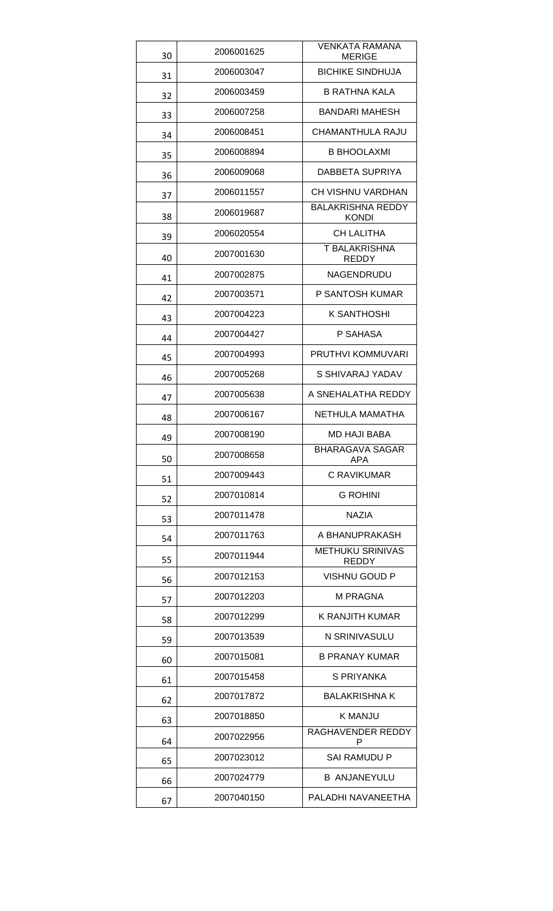| 30 | 2006001625 | <b>VENKATA RAMANA</b><br><b>MERIGE</b>   |
|----|------------|------------------------------------------|
| 31 | 2006003047 | <b>BICHIKE SINDHUJA</b>                  |
| 32 | 2006003459 | <b>B RATHNA KALA</b>                     |
| 33 | 2006007258 | BANDARI MAHESH                           |
| 34 | 2006008451 | CHAMANTHULA RAJU                         |
| 35 | 2006008894 | <b>B BHOOLAXMI</b>                       |
| 36 | 2006009068 | DABBETA SUPRIYA                          |
| 37 | 2006011557 | CH VISHNU VARDHAN                        |
| 38 | 2006019687 | <b>BALAKRISHNA REDDY</b><br><b>KONDI</b> |
| 39 | 2006020554 | <b>CH LALITHA</b>                        |
| 40 | 2007001630 | <b>T BALAKRISHNA</b><br>REDDY            |
| 41 | 2007002875 | NAGENDRUDU                               |
| 42 | 2007003571 | P SANTOSH KUMAR                          |
| 43 | 2007004223 | K SANTHOSHI                              |
| 44 | 2007004427 | P SAHASA                                 |
| 45 | 2007004993 | PRUTHVI KOMMUVARI                        |
| 46 | 2007005268 | S SHIVARAJ YADAV                         |
| 47 | 2007005638 | A SNEHALATHA REDDY                       |
| 48 | 2007006167 | NETHULA MAMATHA                          |
| 49 | 2007008190 | <b>MD HAJI BABA</b>                      |
| 50 | 2007008658 | BHARAGAVA SAGAR<br>APA                   |
| 51 | 2007009443 | <b>C RAVIKUMAR</b>                       |
| 52 | 2007010814 | <b>G ROHINI</b>                          |
| 53 | 2007011478 | <b>NAZIA</b>                             |
| 54 | 2007011763 | A BHANUPRAKASH                           |
| 55 | 2007011944 | <b>METHUKU SRINIVAS</b><br>REDDY         |
| 56 | 2007012153 | VISHNU GOUD P                            |
| 57 | 2007012203 | M PRAGNA                                 |
| 58 | 2007012299 | K RANJITH KUMAR                          |
| 59 | 2007013539 | N SRINIVASULU                            |
| 60 | 2007015081 | <b>B PRANAY KUMAR</b>                    |
| 61 | 2007015458 | S PRIYANKA                               |
| 62 | 2007017872 | <b>BALAKRISHNA K</b>                     |
| 63 | 2007018850 | K MANJU                                  |
| 64 | 2007022956 | RAGHAVENDER REDDY<br>P                   |
| 65 | 2007023012 | SAI RAMUDU P                             |
| 66 | 2007024779 | <b>B ANJANEYULU</b>                      |
| 67 | 2007040150 | PALADHI NAVANEETHA                       |